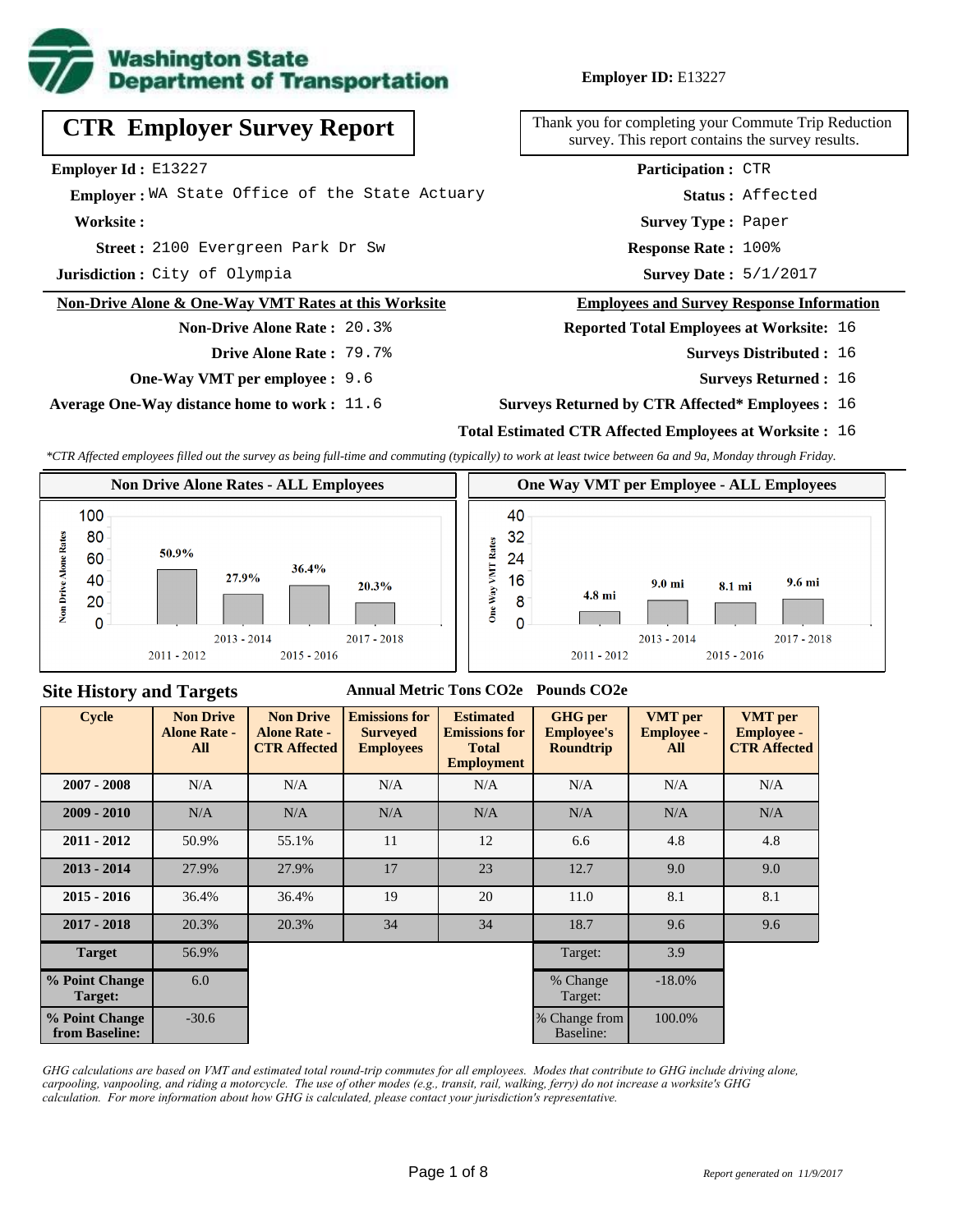

**Employer ID:** E13227

**CTR Employer Survey Report**

**Employer Id :** E13227

 **Employer :** WA State Office of the State Actuary

**Worksite :**

2100 Evergreen Park Dr Sw **Response Rate : Street :**

**Jurisdiction :** City of Olympia

#### **Non-Drive Alone & One-Way VMT Rates at this Worksite**

**Non-Drive Alone Rate :** 20.3% **Drive Alone Rate :** 79.7%

**One-Way VMT per employee :** 9.6

**Average One-Way distance home to work :** 11.6

Thank you for completing your Commute Trip Reduction survey. This report contains the survey results.

> Response Rate: 100% **Survey Type :** Paper **Status :** Affected **Participation :** CTR

Survey Date:  $5/1/2017$ 

#### **Employees and Survey Response Information**

**Reported Total Employees at Worksite:** 16

- Surveys Distributed : 16
	- **Surveys Returned :** 16

#### **Surveys Returned by CTR Affected\* Employees :** 16

### **Total Estimated CTR Affected Employees at Worksite :** 16

*\*CTR Affected employees filled out the survey as being full-time and commuting (typically) to work at least twice between 6a and 9a, Monday through Friday.*



### **Site History and Targets**

### **Annual Metric Tons CO2e Pounds CO2e**

| <b>Cycle</b>                     | <b>Non Drive</b><br><b>Alone Rate -</b><br>All | <b>Non Drive</b><br><b>Alone Rate -</b><br><b>CTR Affected</b> | <b>Emissions for</b><br><b>Surveyed</b><br><b>Employees</b> | <b>Estimated</b><br><b>Emissions for</b><br><b>Total</b><br><b>Employment</b> | <b>GHG</b> per<br><b>Employee's</b><br><b>Roundtrip</b> | <b>VMT</b> per<br><b>Employee -</b><br>All | <b>VMT</b> per<br><b>Employee -</b><br><b>CTR Affected</b> |
|----------------------------------|------------------------------------------------|----------------------------------------------------------------|-------------------------------------------------------------|-------------------------------------------------------------------------------|---------------------------------------------------------|--------------------------------------------|------------------------------------------------------------|
| $2007 - 2008$                    | N/A                                            | N/A                                                            | N/A                                                         | N/A                                                                           | N/A                                                     | N/A                                        | N/A                                                        |
| $2009 - 2010$                    | N/A                                            | N/A                                                            | N/A                                                         | N/A                                                                           | N/A                                                     | N/A                                        | N/A                                                        |
| $2011 - 2012$                    | 50.9%                                          | 55.1%                                                          | 11                                                          | 12                                                                            | 6.6                                                     | 4.8                                        | 4.8                                                        |
| $2013 - 2014$                    | 27.9%                                          | 27.9%                                                          | 17                                                          | 23                                                                            | 12.7                                                    | 9.0                                        | 9.0                                                        |
| $2015 - 2016$                    | 36.4%                                          | 36.4%                                                          | 19                                                          | 20                                                                            | 11.0                                                    | 8.1                                        | 8.1                                                        |
| $2017 - 2018$                    | 20.3%                                          | 20.3%                                                          | 34                                                          | 34                                                                            | 18.7                                                    | 9.6                                        | 9.6                                                        |
| <b>Target</b>                    | 56.9%                                          |                                                                |                                                             |                                                                               | Target:                                                 | 3.9                                        |                                                            |
| % Point Change<br>Target:        | 6.0                                            |                                                                |                                                             |                                                                               | % Change<br>Target:                                     | $-18.0\%$                                  |                                                            |
| % Point Change<br>from Baseline: | $-30.6$                                        |                                                                |                                                             |                                                                               | % Change from<br>Baseline:                              | 100.0%                                     |                                                            |

*GHG calculations are based on VMT and estimated total round-trip commutes for all employees. Modes that contribute to GHG include driving alone, carpooling, vanpooling, and riding a motorcycle. The use of other modes (e.g., transit, rail, walking, ferry) do not increase a worksite's GHG calculation. For more information about how GHG is calculated, please contact your jurisdiction's representative.*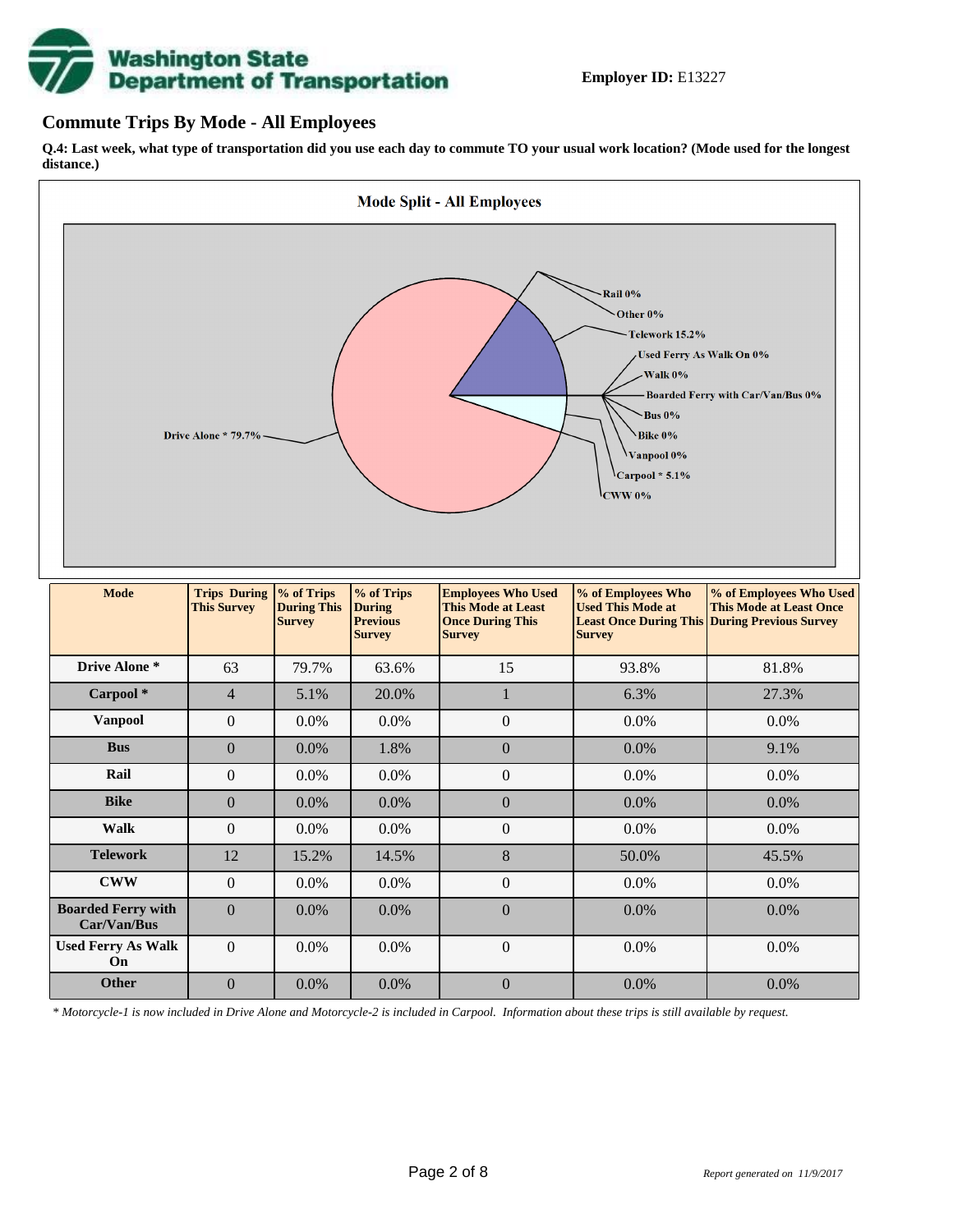

## **Commute Trips By Mode - All Employees**

**Q.4: Last week, what type of transportation did you use each day to commute TO your usual work location? (Mode used for the longest distance.)**



*\* Motorcycle-1 is now included in Drive Alone and Motorcycle-2 is included in Carpool. Information about these trips is still available by request.*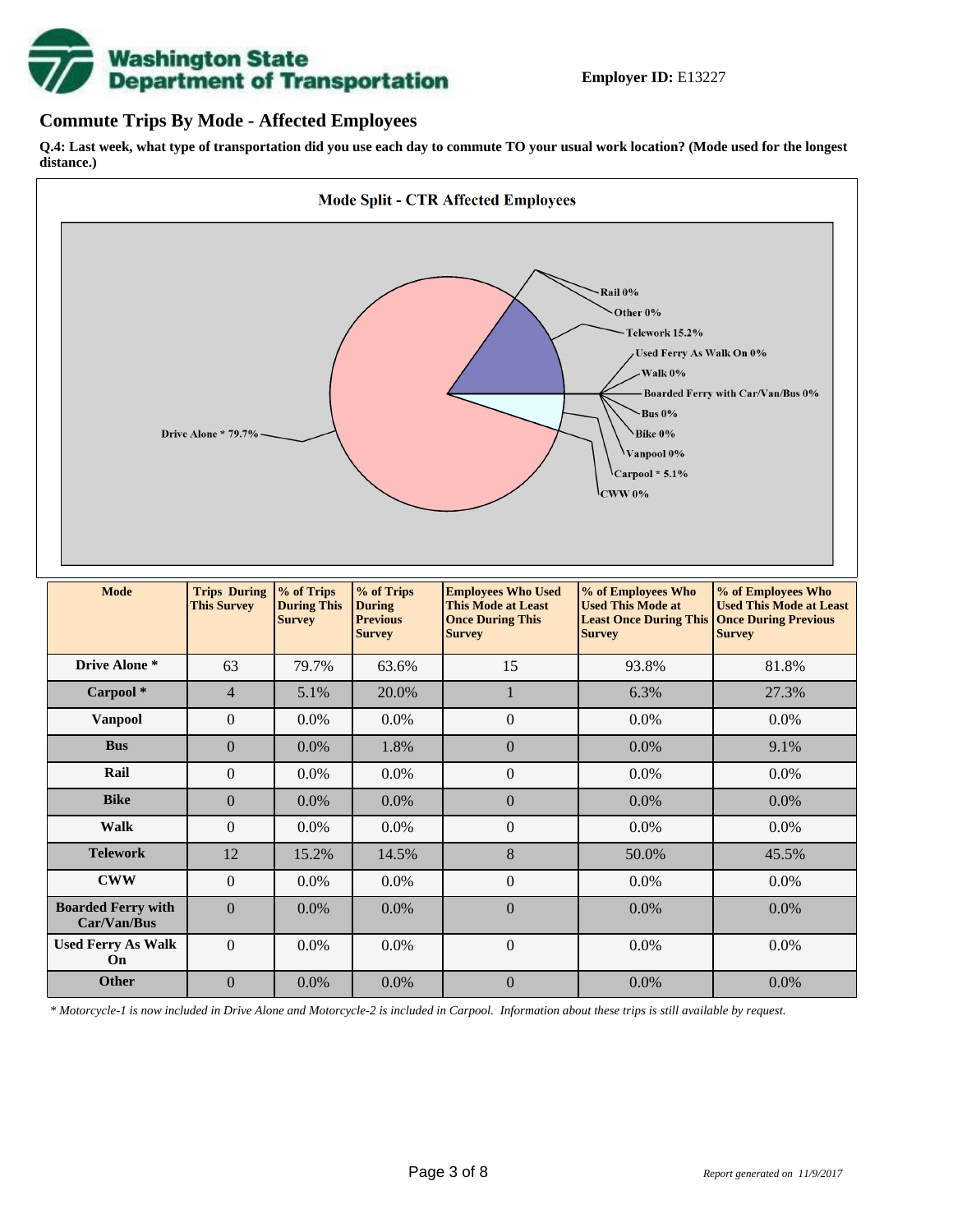

## **Commute Trips By Mode - Affected Employees**

**Q.4: Last week, what type of transportation did you use each day to commute TO your usual work location? (Mode used for the longest distance.)**



*\* Motorcycle-1 is now included in Drive Alone and Motorcycle-2 is included in Carpool. Information about these trips is still available by request.*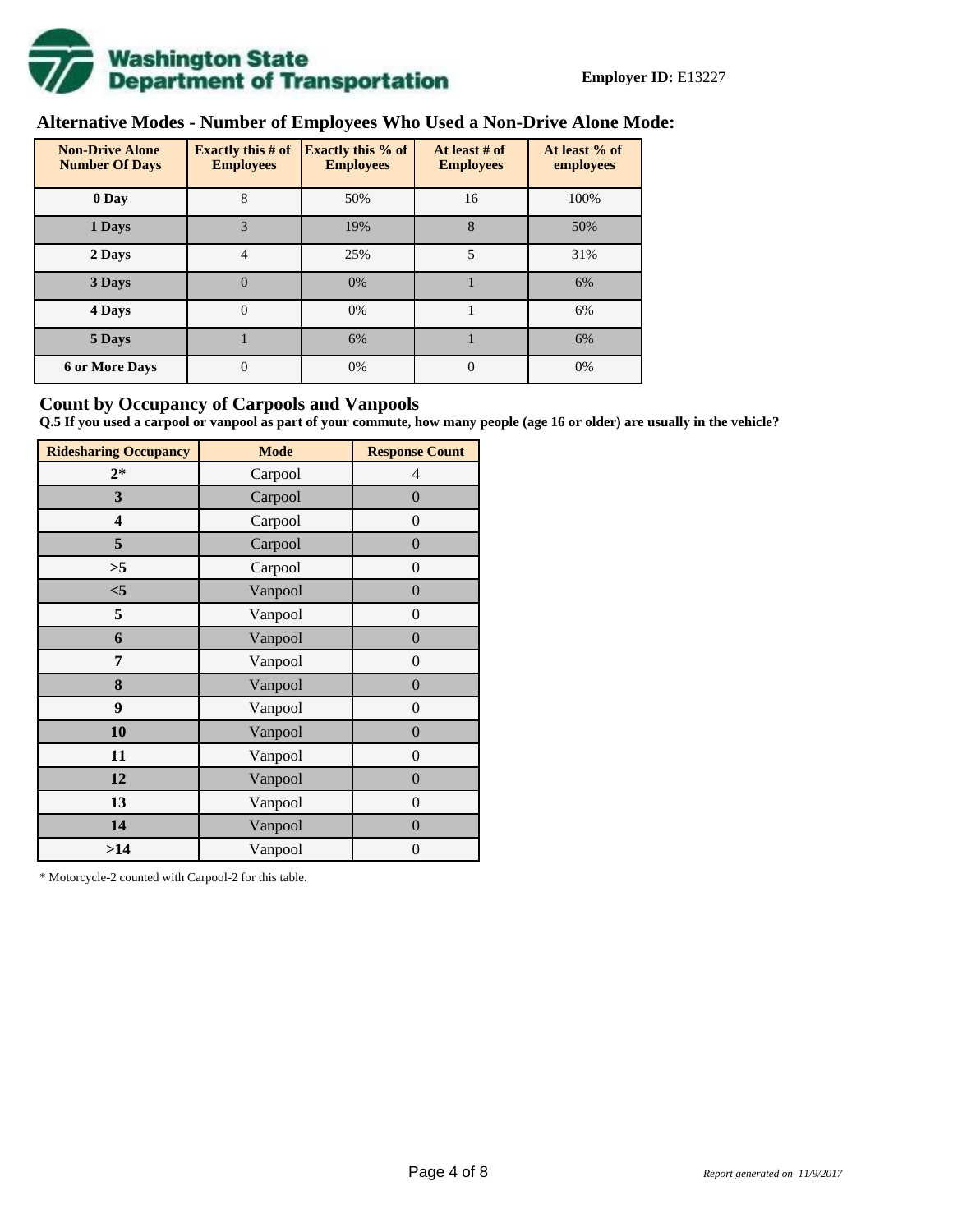

# **Alternative Modes - Number of Employees Who Used a Non-Drive Alone Mode:**

| <b>Non-Drive Alone</b><br><b>Number Of Days</b> | <b>Exactly this # of</b><br><b>Employees</b> | <b>Exactly this % of</b><br><b>Employees</b> | At least # of<br><b>Employees</b> | At least % of<br>employees |  |  |
|-------------------------------------------------|----------------------------------------------|----------------------------------------------|-----------------------------------|----------------------------|--|--|
| 0 Day                                           | 8                                            | 50%                                          | 16                                | 100%                       |  |  |
| 1 Days                                          | 3                                            | 19%                                          | 8                                 | 50%                        |  |  |
| 2 Days                                          | 4                                            | 25%                                          | 5                                 | 31%                        |  |  |
| 3 Days                                          | $\overline{0}$                               | 0%                                           |                                   | 6%                         |  |  |
| 4 Days                                          | $\Omega$                                     | 0%                                           |                                   | 6%                         |  |  |
| 5 Days                                          |                                              | 6%                                           |                                   | 6%                         |  |  |
| <b>6 or More Days</b>                           | $\theta$                                     | 0%                                           | $\Omega$                          | 0%                         |  |  |

## **Count by Occupancy of Carpools and Vanpools**

**Q.5 If you used a carpool or vanpool as part of your commute, how many people (age 16 or older) are usually in the vehicle?**

| <b>Ridesharing Occupancy</b> | <b>Mode</b> | <b>Response Count</b> |  |  |  |
|------------------------------|-------------|-----------------------|--|--|--|
| $2*$                         | Carpool     | 4                     |  |  |  |
| 3                            | Carpool     | $\boldsymbol{0}$      |  |  |  |
| 4                            | Carpool     | $\theta$              |  |  |  |
| 5                            | Carpool     | $\boldsymbol{0}$      |  |  |  |
| >5                           | Carpool     | $\overline{0}$        |  |  |  |
| < 5                          | Vanpool     | $\overline{0}$        |  |  |  |
| 5                            | Vanpool     | $\boldsymbol{0}$      |  |  |  |
| 6                            | Vanpool     | $\boldsymbol{0}$      |  |  |  |
| 7                            | Vanpool     | $\boldsymbol{0}$      |  |  |  |
| 8                            | Vanpool     | $\boldsymbol{0}$      |  |  |  |
| 9                            | Vanpool     | $\boldsymbol{0}$      |  |  |  |
| 10                           | Vanpool     | $\boldsymbol{0}$      |  |  |  |
| 11                           | Vanpool     | $\boldsymbol{0}$      |  |  |  |
| 12                           | Vanpool     | $\boldsymbol{0}$      |  |  |  |
| 13                           | Vanpool     | $\boldsymbol{0}$      |  |  |  |
| 14                           | Vanpool     | $\overline{0}$        |  |  |  |
| >14                          | Vanpool     | $\boldsymbol{0}$      |  |  |  |

\* Motorcycle-2 counted with Carpool-2 for this table.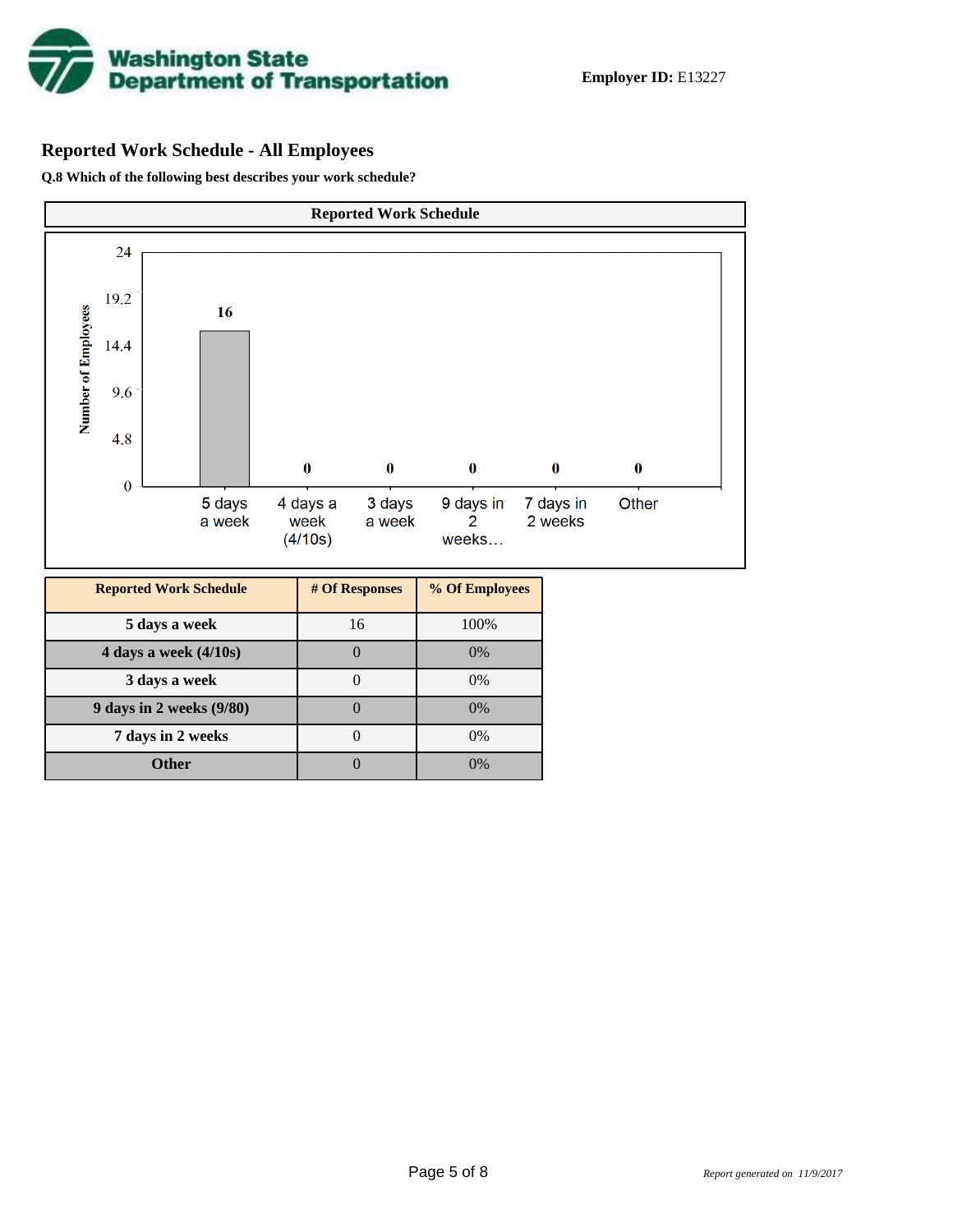

# **Reported Work Schedule - All Employees**

**Q.8 Which of the following best describes your work schedule?**

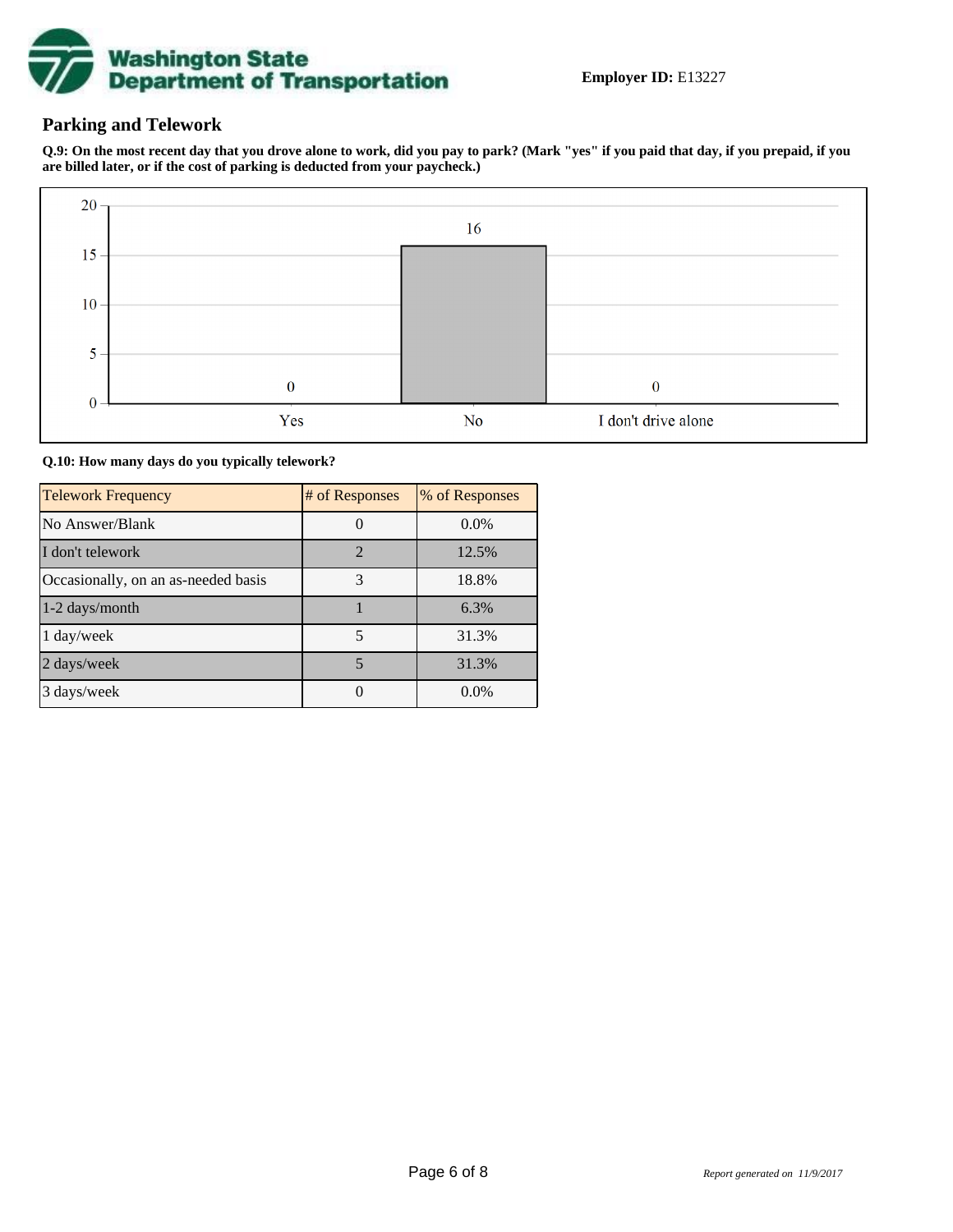

## **Parking and Telework**

**Q.9: On the most recent day that you drove alone to work, did you pay to park? (Mark "yes" if you paid that day, if you prepaid, if you are billed later, or if the cost of parking is deducted from your paycheck.)**



**Q.10: How many days do you typically telework?**

| <b>Telework Frequency</b>           | # of Responses | % of Responses |
|-------------------------------------|----------------|----------------|
| No Answer/Blank                     |                | $0.0\%$        |
| I don't telework                    | $\overline{2}$ | 12.5%          |
| Occasionally, on an as-needed basis | 3              | 18.8%          |
| 1-2 days/month                      |                | 6.3%           |
| 1 day/week                          | 5              | 31.3%          |
| 2 days/week                         | 5              | 31.3%          |
| 3 days/week                         |                | $0.0\%$        |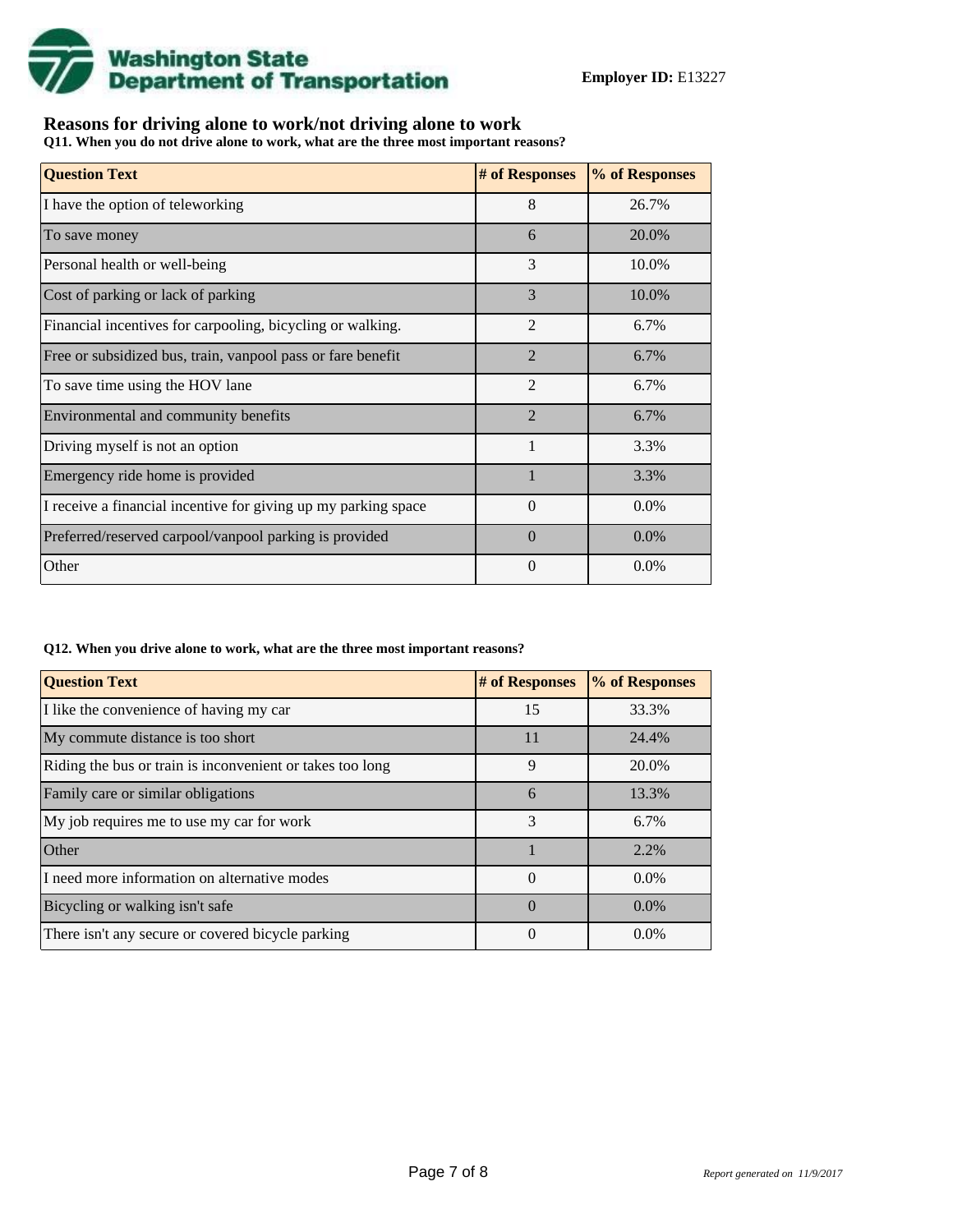

## **Reasons for driving alone to work/not driving alone to work**

**Q11. When you do not drive alone to work, what are the three most important reasons?**

| <b>Question Text</b>                                           | # of Responses | % of Responses |
|----------------------------------------------------------------|----------------|----------------|
| I have the option of teleworking                               | 8              | 26.7%          |
| To save money                                                  | 6              | 20.0%          |
| Personal health or well-being                                  | 3              | 10.0%          |
| Cost of parking or lack of parking                             | 3              | 10.0%          |
| Financial incentives for carpooling, bicycling or walking.     | $\overline{2}$ | 6.7%           |
| Free or subsidized bus, train, vanpool pass or fare benefit    | $\overline{2}$ | 6.7%           |
| To save time using the HOV lane                                | $\overline{2}$ | 6.7%           |
| Environmental and community benefits                           | $\mathfrak{D}$ | 6.7%           |
| Driving myself is not an option                                | $\mathbf{1}$   | 3.3%           |
| Emergency ride home is provided                                |                | 3.3%           |
| I receive a financial incentive for giving up my parking space | $\theta$       | 0.0%           |
| Preferred/reserved carpool/vanpool parking is provided         | $\Omega$       | $0.0\%$        |
| Other                                                          | $\theta$       | $0.0\%$        |

#### **Q12. When you drive alone to work, what are the three most important reasons?**

| <b>Question Text</b>                                      | # of Responses | % of Responses |  |  |
|-----------------------------------------------------------|----------------|----------------|--|--|
| I like the convenience of having my car                   | 15             | 33.3%          |  |  |
| My commute distance is too short                          | 11             | 24.4%          |  |  |
| Riding the bus or train is inconvenient or takes too long | 9              | 20.0%          |  |  |
| Family care or similar obligations                        | 6              | 13.3%          |  |  |
| My job requires me to use my car for work                 | $\mathcal{E}$  | 6.7%           |  |  |
| <b>Other</b>                                              |                | 2.2%           |  |  |
| I need more information on alternative modes              | $\Omega$       | $0.0\%$        |  |  |
| Bicycling or walking isn't safe                           | $\Omega$       | $0.0\%$        |  |  |
| There isn't any secure or covered bicycle parking         | $\theta$       | $0.0\%$        |  |  |